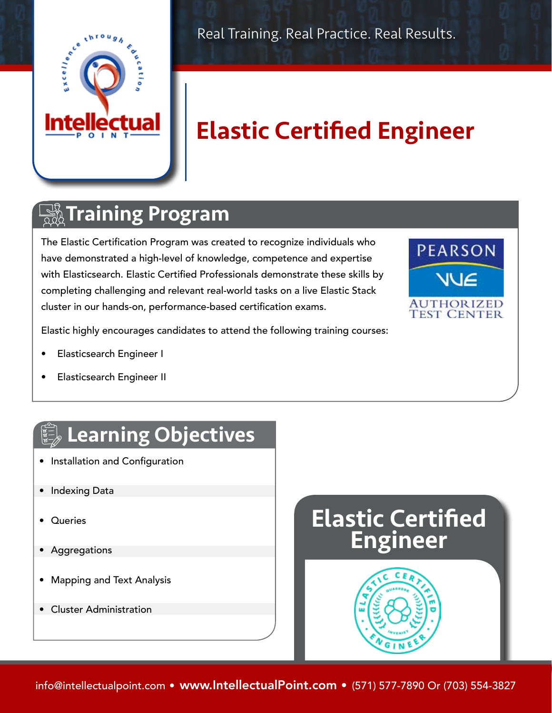

Real Training. Real Practice. Real Results.

# Elastic Certified Engineer

### **The Training Program**

The Elastic Certification Program was created to recognize individuals who have demonstrated a high-level of knowledge, competence and expertise with Elasticsearch. Elastic Certified Professionals demonstrate these skills by completing challenging and relevant real-world tasks on a live Elastic Stack cluster in our hands-on, performance-based certification exams.



Elastic highly encourages candidates to attend the following training courses:

- Elasticsearch Engineer I
- Elasticsearch Engineer II

## Learning Objectives

- Installation and Configuration
- Indexing Data
- Queries
- Aggregations
- Mapping and Text Analysis
- Cluster Administration



info@intellectualpoint.com • www.IntellectualPoint.com • (571) 577-7890 Or (703) 554-3827